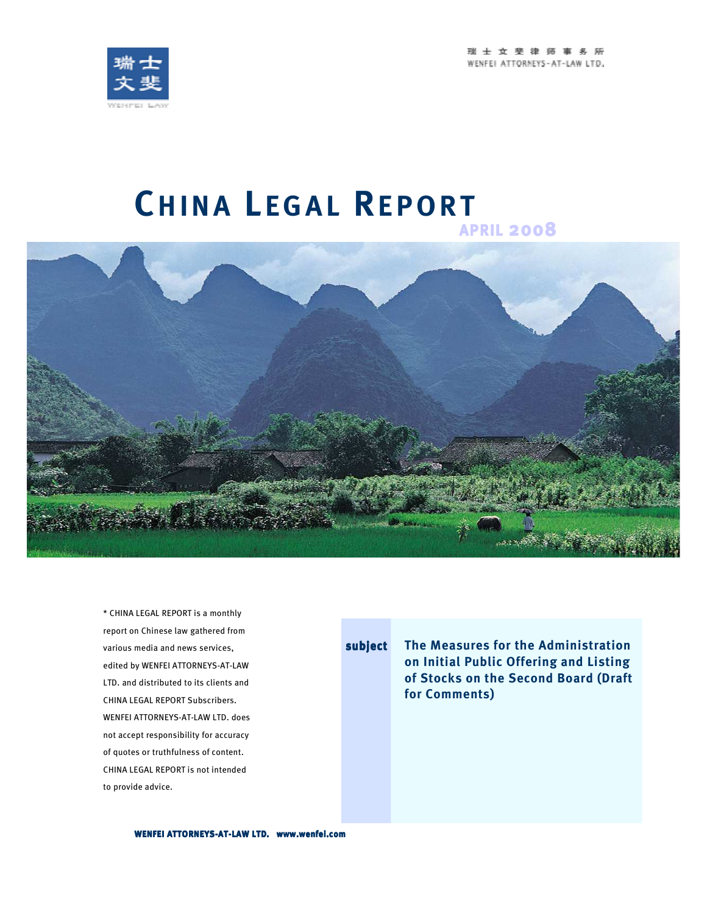



# **CH I N A L E G A L RE P O R T APRIL <sup>2008</sup>**



\* CHINA LEGAL REPORT is a monthly report on Chinese law gathered from various media and news services, edited by WENFEI ATTORNEYS-AT-LAW LTD. and distributed to its clients and CHINA LEGAL REPORT Subscribers. WENFEI ATTORNEYS-AT-LAW LTD. does not accept responsibility for accuracy of quotes or truthfulness of content. CHINA LEGAL REPORT is not intended to provide advice.

**subject The Measures for the Administration on Initial Public Offering and Listing of Stocks on the Second Board (Draft for Comments)**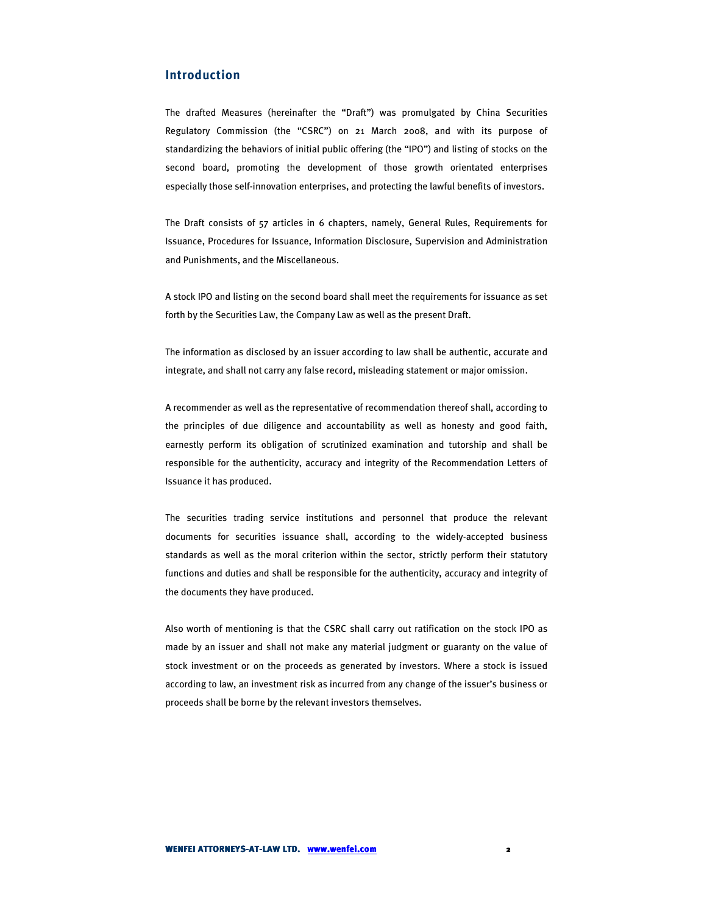# **Introduction**

The drafted Measures (hereinafter the "Draft") was promulgated by China Securities Regulatory Commission (the "CSRC") on 21 March 2008, and with its purpose of standardizing the behaviors of initial public offering (the "IPO") and listing of stocks on the second board, promoting the development of those growth orientated enterprises especially those self-innovation enterprises, and protecting the lawful benefits of investors.

The Draft consists of 57 articles in 6 chapters, namely, General Rules, Requirements for Issuance, Procedures for Issuance, Information Disclosure, Supervision and Administration and Punishments, and the Miscellaneous.

A stock IPO and listing on the second board shall meet the requirements for issuance as set forth by the Securities Law, the Company Law as well as the present Draft.

The information as disclosed by an issuer according to law shall be authentic, accurate and integrate, and shall not carry any false record, misleading statement or major omission.

A recommender as well as the representative of recommendation thereof shall, according to the principles of due diligence and accountability as well as honesty and good faith, earnestly perform its obligation of scrutinized examination and tutorship and shall be responsible for the authenticity, accuracy and integrity of the Recommendation Letters of Issuance it has produced.

The securities trading service institutions and personnel that produce the relevant documents for securities issuance shall, according to the widely-accepted business standards as well as the moral criterion within the sector, strictly perform their statutory functions and duties and shall be responsible for the authenticity, accuracy and integrity of the documents they have produced.

Also worth of mentioning is that the CSRC shall carry out ratification on the stock IPO as made by an issuer and shall not make any material judgment or guaranty on the value of stock investment or on the proceeds as generated by investors. Where a stock is issued according to law, an investment risk as incurred from any change of the issuer's business or proceeds shall be borne by the relevant investors themselves.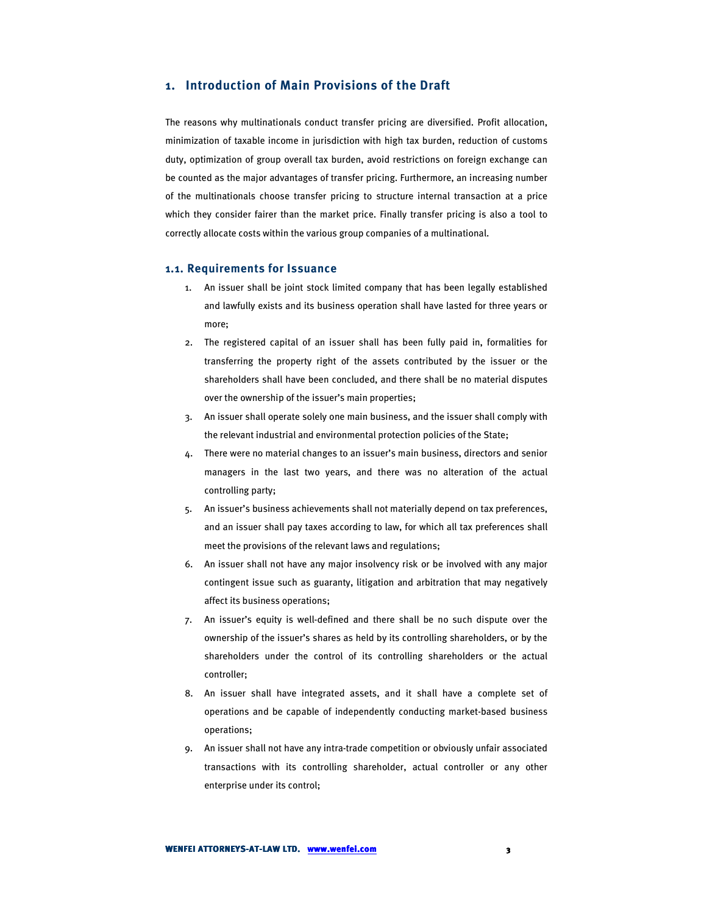### **1. Introduction of Main Provisions of the Draft**

The reasons why multinationals conduct transfer pricing are diversified. Profit allocation, minimization of taxable income in jurisdiction with high tax burden, reduction of customs duty, optimization of group overall tax burden, avoid restrictions on foreign exchange can be counted as the major advantages of transfer pricing. Furthermore, an increasing number of the multinationals choose transfer pricing to structure internal transaction at a price which they consider fairer than the market price. Finally transfer pricing is also a tool to correctly allocate costs within the various group companies of a multinational.

#### **1.1. Requirements for Issuance**

- 1. An issuer shall be joint stock limited company that has been legally established and lawfully exists and its business operation shall have lasted for three years or more;
- 2. The registered capital of an issuer shall has been fully paid in, formalities for transferring the property right of the assets contributed by the issuer or the shareholders shall have been concluded, and there shall be no material disputes over the ownership of the issuer's main properties;
- 3. An issuer shall operate solely one main business, and the issuer shall comply with the relevant industrial and environmental protection policies of the State;
- 4. There were no material changes to an issuer's main business, directors and senior managers in the last two years, and there was no alteration of the actual controlling party;
- 5. An issuer's business achievements shall not materially depend on tax preferences, and an issuer shall pay taxes according to law, for which all tax preferences shall meet the provisions of the relevant laws and regulations;
- 6. An issuer shall not have any major insolvency risk or be involved with any major contingent issue such as guaranty, litigation and arbitration that may negatively affect its business operations;
- 7. An issuer's equity is well-defined and there shall be no such dispute over the ownership of the issuer's shares as held by its controlling shareholders, or by the shareholders under the control of its controlling shareholders or the actual controller;
- 8. An issuer shall have integrated assets, and it shall have a complete set of operations and be capable of independently conducting market-based business operations;
- 9. An issuer shall not have any intra-trade competition or obviously unfair associated transactions with its controlling shareholder, actual controller or any other enterprise under its control;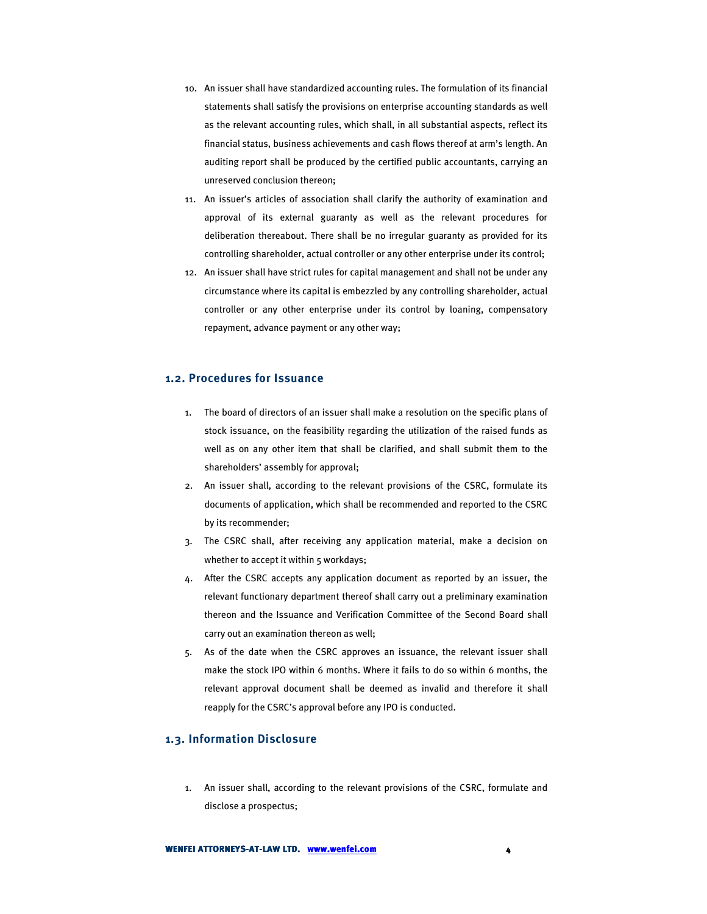- 10. An issuer shall have standardized accounting rules. The formulation of its financial statements shall satisfy the provisions on enterprise accounting standards as well as the relevant accounting rules, which shall, in all substantial aspects, reflect its financial status, business achievements and cash flows thereof at arm's length. An auditing report shall be produced by the certified public accountants, carrying an unreserved conclusion thereon;
- 11. An issuer's articles of association shall clarify the authority of examination and approval of its external guaranty as well as the relevant procedures for deliberation thereabout. There shall be no irregular guaranty as provided for its controlling shareholder, actual controller or any other enterprise under its control;
- 12. An issuer shall have strict rules for capital management and shall not be under any circumstance where its capital is embezzled by any controlling shareholder, actual controller or any other enterprise under its control by loaning, compensatory repayment, advance payment or any other way;

#### **1.2. Procedures for Issuance**

- 1. The board of directors of an issuer shall make a resolution on the specific plans of stock issuance, on the feasibility regarding the utilization of the raised funds as well as on any other item that shall be clarified, and shall submit them to the shareholders' assembly for approval;
- 2. An issuer shall, according to the relevant provisions of the CSRC, formulate its documents of application, which shall be recommended and reported to the CSRC by its recommender;
- 3. The CSRC shall, after receiving any application material, make a decision on whether to accept it within 5 workdays;
- 4. After the CSRC accepts any application document as reported by an issuer, the relevant functionary department thereof shall carry out a preliminary examination thereon and the Issuance and Verification Committee of the Second Board shall carry out an examination thereon as well;
- 5. As of the date when the CSRC approves an issuance, the relevant issuer shall make the stock IPO within 6 months. Where it fails to do so within 6 months, the relevant approval document shall be deemed as invalid and therefore it shall reapply for the CSRC's approval before any IPO is conducted.

#### **1.3. Information Disclosure**

1. An issuer shall, according to the relevant provisions of the CSRC, formulate and disclose a prospectus;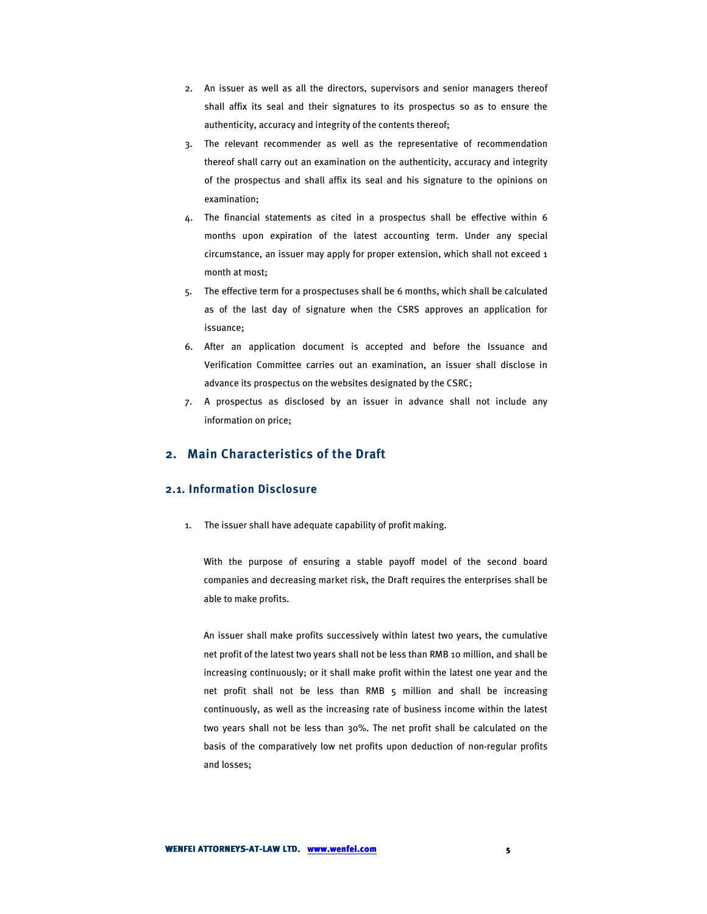- 2. An issuer as well as all the directors, supervisors and senior managers thereof shall affix its seal and their signatures to its prospectus so as to ensure the authenticity, accuracy and integrity of the contents thereof;
- 3. The relevant recommender as well as the representative of recommendation thereof shall carry out an examination on the authenticity, accuracy and integrity of the prospectus and shall affix its seal and his signature to the opinions on examination;
- 4. The financial statements as cited in a prospectus shall be effective within 6 months upon expiration of the latest accounting term. Under any special circumstance, an issuer may apply for proper extension, which shall not exceed 1 month at most;
- 5. The effective term for a prospectuses shall be 6 months, which shall be calculated as of the last day of signature when the CSRS approves an application for issuance;
- 6. After an application document is accepted and before the Issuance and Verification Committee carries out an examination, an issuer shall disclose in advance its prospectus on the websites designated by the CSRC;
- 7. A prospectus as disclosed by an issuer in advance shall not include any information on price;

#### **2. Main Characteristics of the Draft**

## **2.1. Information Disclosure**

1. The issuer shall have adequate capability of profit making.

With the purpose of ensuring a stable payoff model of the second board companies and decreasing market risk, the Draft requires the enterprises shall be able to make profits.

An issuer shall make profits successively within latest two years, the cumulative net profit of the latest two years shall not be less than RMB 10 million, and shall be increasing continuously; or it shall make profit within the latest one year and the net profit shall not be less than RMB 5 million and shall be increasing continuously, as well as the increasing rate of business income within the latest two years shall not be less than 30%. The net profit shall be calculated on the basis of the comparatively low net profits upon deduction of non-regular profits and losses;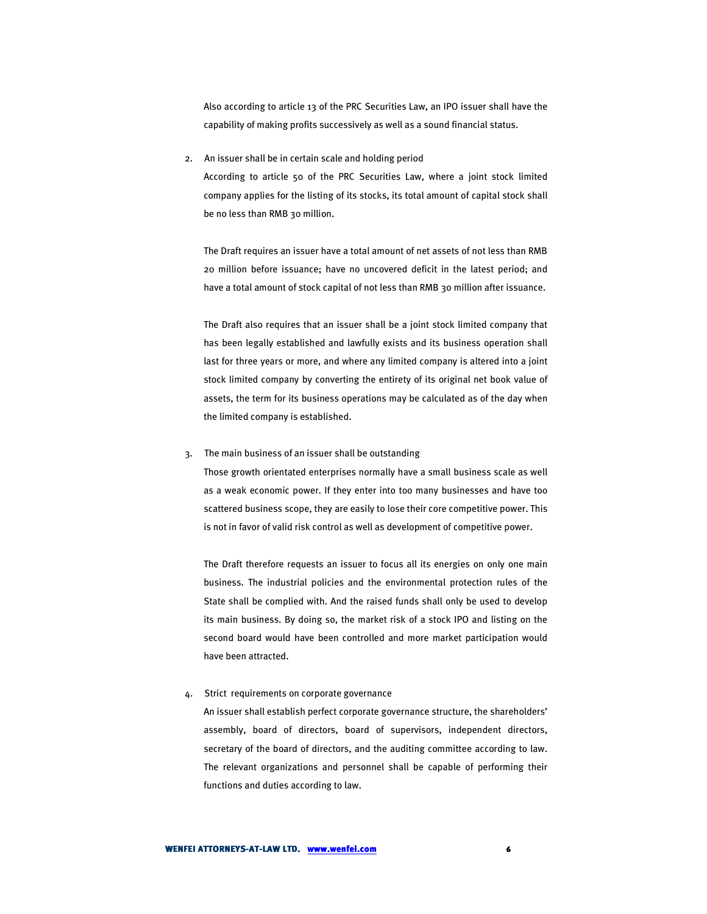Also according to article 13 of the PRC Securities Law, an IPO issuer shall have the capability of making profits successively as well as a sound financial status.

2. An issuer shall be in certain scale and holding period

According to article 50 of the PRC Securities Law, where a joint stock limited company applies for the listing of its stocks, its total amount of capital stock shall be no less than RMB 30 million.

The Draft requires an issuer have a total amount of net assets of not less than RMB 20 million before issuance; have no uncovered deficit in the latest period; and have a total amount of stock capital of not less than RMB 30 million after issuance.

The Draft also requires that an issuer shall be a joint stock limited company that has been legally established and lawfully exists and its business operation shall last for three years or more, and where any limited company is altered into a joint stock limited company by converting the entirety of its original net book value of assets, the term for its business operations may be calculated as of the day when the limited company is established.

3. The main business of an issuer shall be outstanding

Those growth orientated enterprises normally have a small business scale as well as a weak economic power. If they enter into too many businesses and have too scattered business scope, they are easily to lose their core competitive power. This is not in favor of valid risk control as well as development of competitive power.

The Draft therefore requests an issuer to focus all its energies on only one main business. The industrial policies and the environmental protection rules of the State shall be complied with. And the raised funds shall only be used to develop its main business. By doing so, the market risk of a stock IPO and listing on the second board would have been controlled and more market participation would have been attracted.

4. Strict requirements on corporate governance

An issuer shall establish perfect corporate governance structure, the shareholders' assembly, board of directors, board of supervisors, independent directors, secretary of the board of directors, and the auditing committee according to law. The relevant organizations and personnel shall be capable of performing their functions and duties according to law.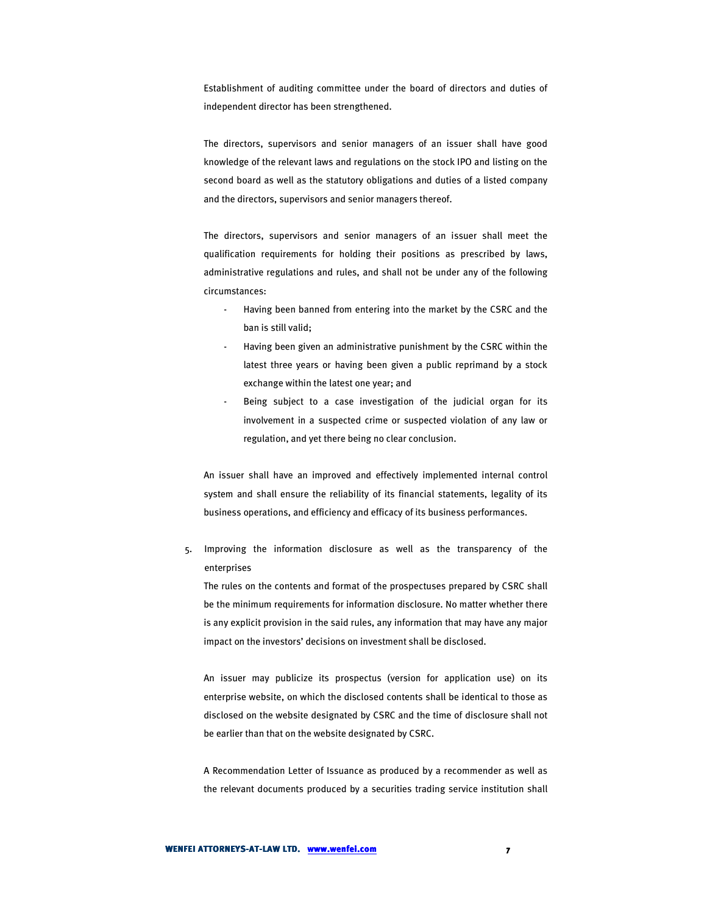Establishment of auditing committee under the board of directors and duties of independent director has been strengthened.

The directors, supervisors and senior managers of an issuer shall have good knowledge of the relevant laws and regulations on the stock IPO and listing on the second board as well as the statutory obligations and duties of a listed company and the directors, supervisors and senior managers thereof.

The directors, supervisors and senior managers of an issuer shall meet the qualification requirements for holding their positions as prescribed by laws, administrative regulations and rules, and shall not be under any of the following circumstances:

- Having been banned from entering into the market by the CSRC and the ban is still valid;
- Having been given an administrative punishment by the CSRC within the latest three years or having been given a public reprimand by a stock exchange within the latest one year; and
- Being subject to a case investigation of the judicial organ for its involvement in a suspected crime or suspected violation of any law or regulation, and yet there being no clear conclusion.

An issuer shall have an improved and effectively implemented internal control system and shall ensure the reliability of its financial statements, legality of its business operations, and efficiency and efficacy of its business performances.

5. Improving the information disclosure as well as the transparency of the enterprises

The rules on the contents and format of the prospectuses prepared by CSRC shall be the minimum requirements for information disclosure. No matter whether there is any explicit provision in the said rules, any information that may have any major impact on the investors' decisions on investment shall be disclosed.

An issuer may publicize its prospectus (version for application use) on its enterprise website, on which the disclosed contents shall be identical to those as disclosed on the website designated by CSRC and the time of disclosure shall not be earlier than that on the website designated by CSRC.

A Recommendation Letter of Issuance as produced by a recommender as well as the relevant documents produced by a securities trading service institution shall